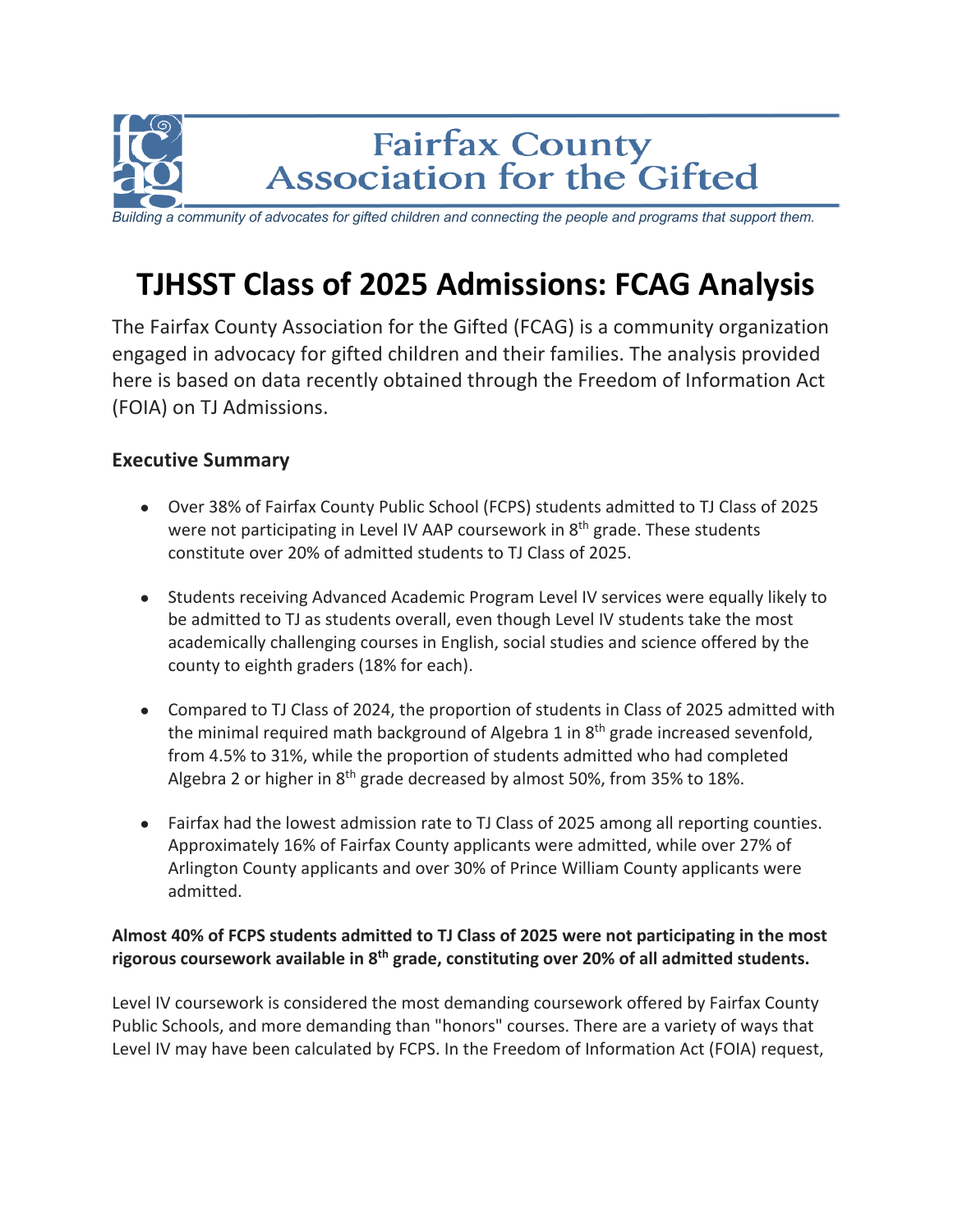

*Building a community of advocates for gifted children and connecting the people and programs that support them.*

# **TJHSST Class of 2025 Admissions: FCAG Analysis**

The Fairfax County Association for the Gifted (FCAG) is a community organization engaged in advocacy for gifted children and their families. The analysis provided here is based on data recently obtained through the Freedom of Information Act (FOIA) on TJ Admissions.

## **Executive Summary**

- Over 38% of Fairfax County Public School (FCPS) students admitted to TJ Class of 2025 were not participating in Level IV AAP coursework in  $8<sup>th</sup>$  grade. These students constitute over 20% of admitted students to TJ Class of 2025.
- Students receiving Advanced Academic Program Level IV services were equally likely to be admitted to TJ as students overall, even though Level IV students take the most academically challenging courses in English, social studies and science offered by the county to eighth graders (18% for each).
- Compared to TJ Class of 2024, the proportion of students in Class of 2025 admitted with the minimal required math background of Algebra 1 in  $8<sup>th</sup>$  grade increased sevenfold, from 4.5% to 31%, while the proportion of students admitted who had completed Algebra 2 or higher in  $8<sup>th</sup>$  grade decreased by almost 50%, from 35% to 18%.
- Fairfax had the lowest admission rate to TJ Class of 2025 among all reporting counties. Approximately 16% of Fairfax County applicants were admitted, while over 27% of Arlington County applicants and over 30% of Prince William County applicants were admitted.

### **Almost 40% of FCPS students admitted to TJ Class of 2025 were not participating in the most rigorous coursework available in 8th grade, constituting over 20% of all admitted students.**

Level IV coursework is considered the most demanding coursework offered by Fairfax County Public Schools, and more demanding than "honors" courses. There are a variety of ways that Level IV may have been calculated by FCPS. In the Freedom of Information Act (FOIA) request,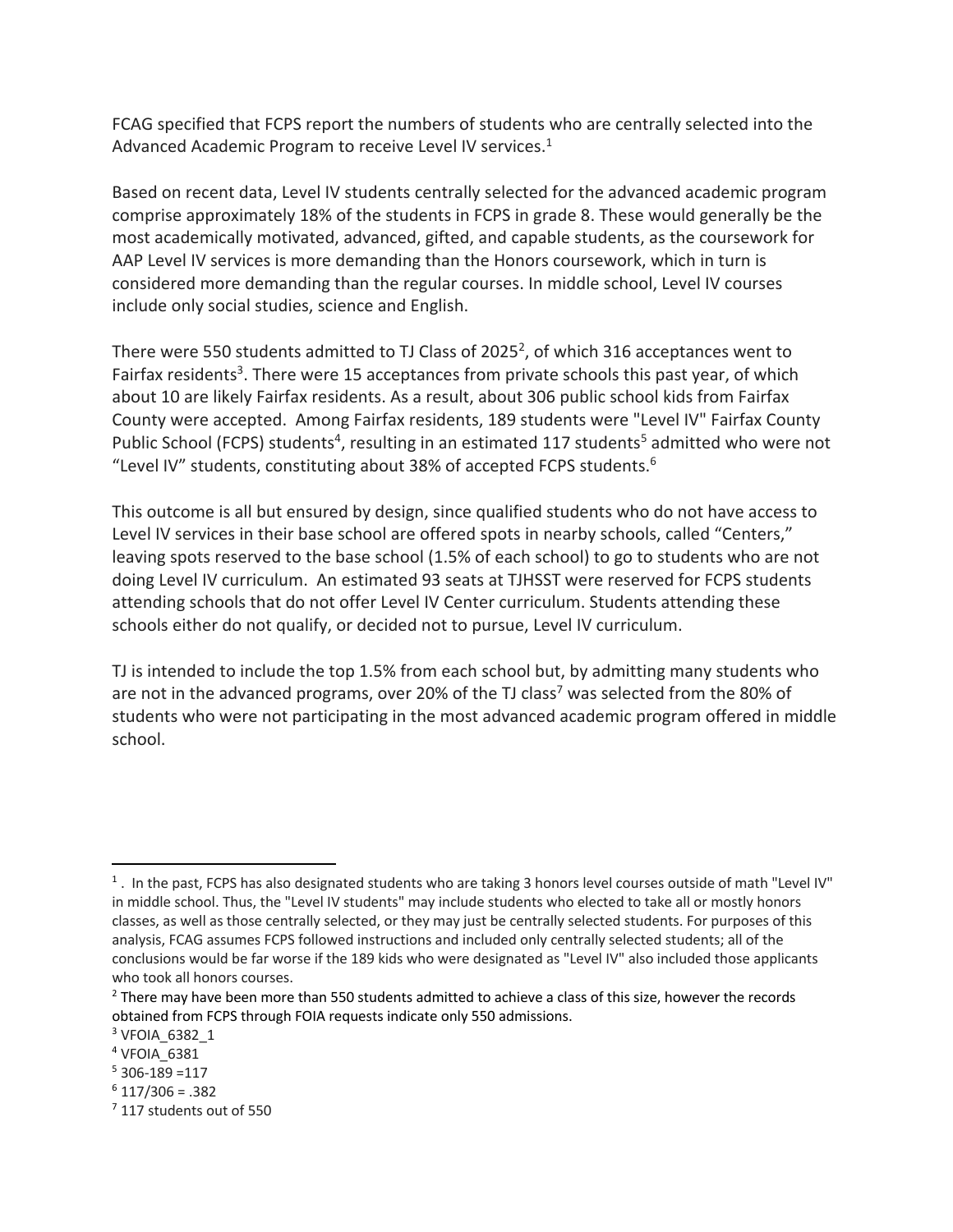FCAG specified that FCPS report the numbers of students who are centrally selected into the Advanced Academic Program to receive Level IV services.<sup>1</sup>

Based on recent data, Level IV students centrally selected for the advanced academic program comprise approximately 18% of the students in FCPS in grade 8. These would generally be the most academically motivated, advanced, gifted, and capable students, as the coursework for AAP Level IV services is more demanding than the Honors coursework, which in turn is considered more demanding than the regular courses. In middle school, Level IV courses include only social studies, science and English.

There were 550 students admitted to TJ Class of 2025<sup>2</sup>, of which 316 acceptances went to Fairfax residents<sup>3</sup>. There were 15 acceptances from private schools this past year, of which about 10 are likely Fairfax residents. As a result, about 306 public school kids from Fairfax County were accepted. Among Fairfax residents, 189 students were "Level IV" Fairfax County Public School (FCPS) students<sup>4</sup>, resulting in an estimated 117 students<sup>5</sup> admitted who were not "Level IV" students, constituting about 38% of accepted FCPS students. 6

This outcome is all but ensured by design, since qualified students who do not have access to Level IV services in their base school are offered spots in nearby schools, called "Centers," leaving spots reserved to the base school (1.5% of each school) to go to students who are not doing Level IV curriculum. An estimated 93 seats at TJHSST were reserved for FCPS students attending schools that do not offer Level IV Center curriculum. Students attending these schools either do not qualify, or decided not to pursue, Level IV curriculum.

TJ is intended to include the top 1.5% from each school but, by admitting many students who are not in the advanced programs, over 20% of the TJ class<sup>7</sup> was selected from the 80% of students who were not participating in the most advanced academic program offered in middle school.

 $6$  117/306 = .382

 $1$ . In the past, FCPS has also designated students who are taking 3 honors level courses outside of math "Level IV" in middle school. Thus, the "Level IV students" may include students who elected to take all or mostly honors classes, as well as those centrally selected, or they may just be centrally selected students. For purposes of this analysis, FCAG assumes FCPS followed instructions and included only centrally selected students; all of the conclusions would be far worse if the 189 kids who were designated as "Level IV" also included those applicants who took all honors courses.

<sup>&</sup>lt;sup>2</sup> There may have been more than 550 students admitted to achieve a class of this size, however the records obtained from FCPS through FOIA requests indicate only 550 admissions.

<sup>&</sup>lt;sup>3</sup> VFOIA 6382 1

<sup>&</sup>lt;sup>4</sup> VFOIA 6381

 $5$  306-189 =117

<sup>&</sup>lt;sup>7</sup> 117 students out of 550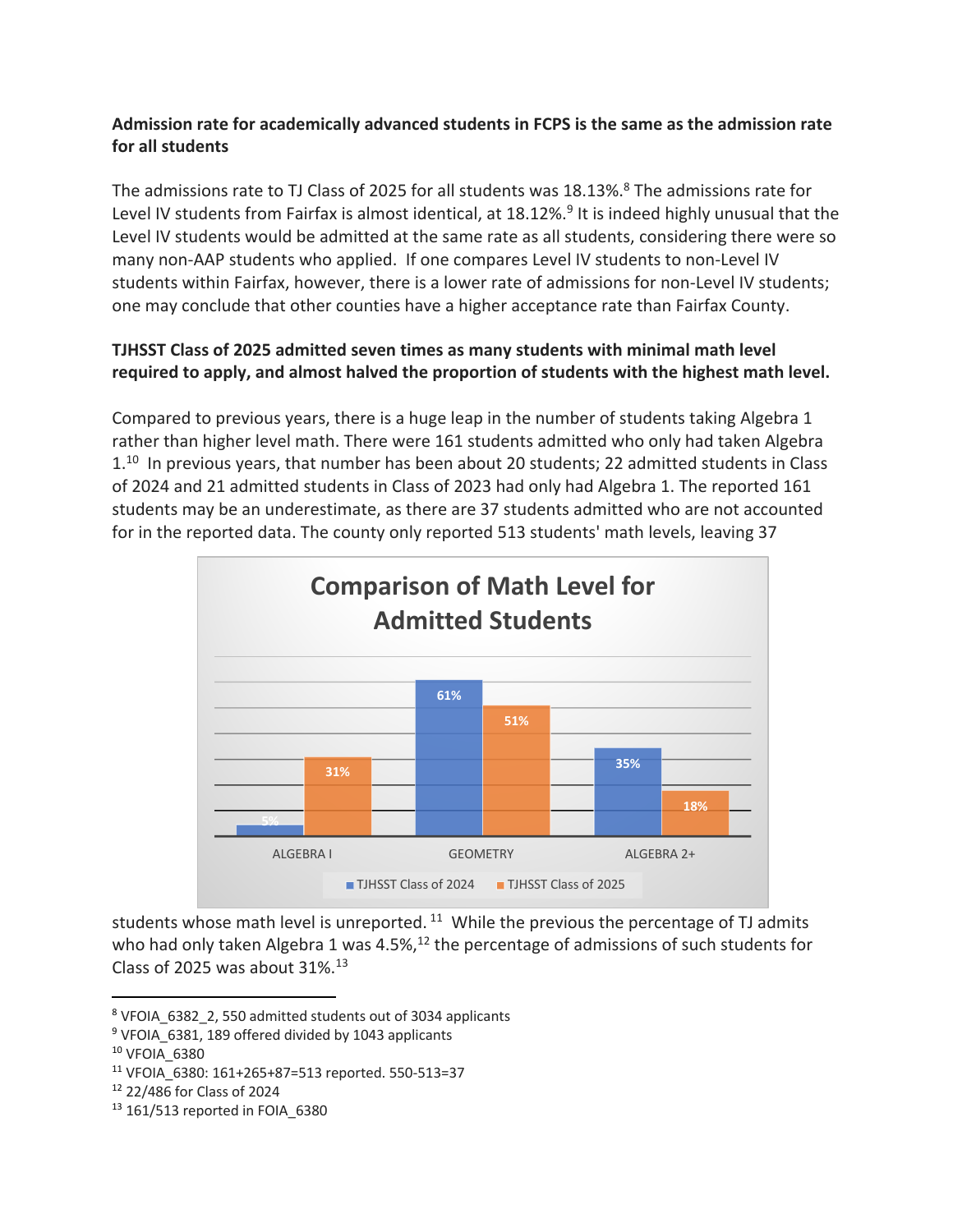#### **Admission rate for academically advanced students in FCPS is the same as the admission rate for all students**

The admissions rate to TJ Class of 2025 for all students was 18.13%.<sup>8</sup> The admissions rate for Level IV students from Fairfax is almost identical, at 18.12%.<sup>9</sup> It is indeed highly unusual that the Level IV students would be admitted at the same rate as all students, considering there were so many non-AAP students who applied. If one compares Level IV students to non-Level IV students within Fairfax, however, there is a lower rate of admissions for non-Level IV students; one may conclude that other counties have a higher acceptance rate than Fairfax County.

#### **TJHSST Class of 2025 admitted seven times as many students with minimal math level required to apply, and almost halved the proportion of students with the highest math level.**

Compared to previous years, there is a huge leap in the number of students taking Algebra 1 rather than higher level math. There were 161 students admitted who only had taken Algebra  $1<sup>10</sup>$  In previous years, that number has been about 20 students; 22 admitted students in Class of 2024 and 21 admitted students in Class of 2023 had only had Algebra 1. The reported 161 students may be an underestimate, as there are 37 students admitted who are not accounted for in the reported data. The county only reported 513 students' math levels, leaving 37



students whose math level is unreported.<sup>11</sup> While the previous the percentage of TJ admits who had only taken Algebra 1 was 4.5%,<sup>12</sup> the percentage of admissions of such students for Class of 2025 was about  $31\%$ .<sup>13</sup>

<sup>8</sup> VFOIA\_6382\_2, 550 admitted students out of 3034 applicants

<sup>9</sup> VFOIA\_6381, 189 offered divided by 1043 applicants

<sup>10</sup> VFOIA\_6380

<sup>11</sup> VFOIA\_6380: 161+265+87=513 reported. 550-513=37

<sup>12</sup> 22/486 for Class of 2024

<sup>13</sup> 161/513 reported in FOIA\_6380